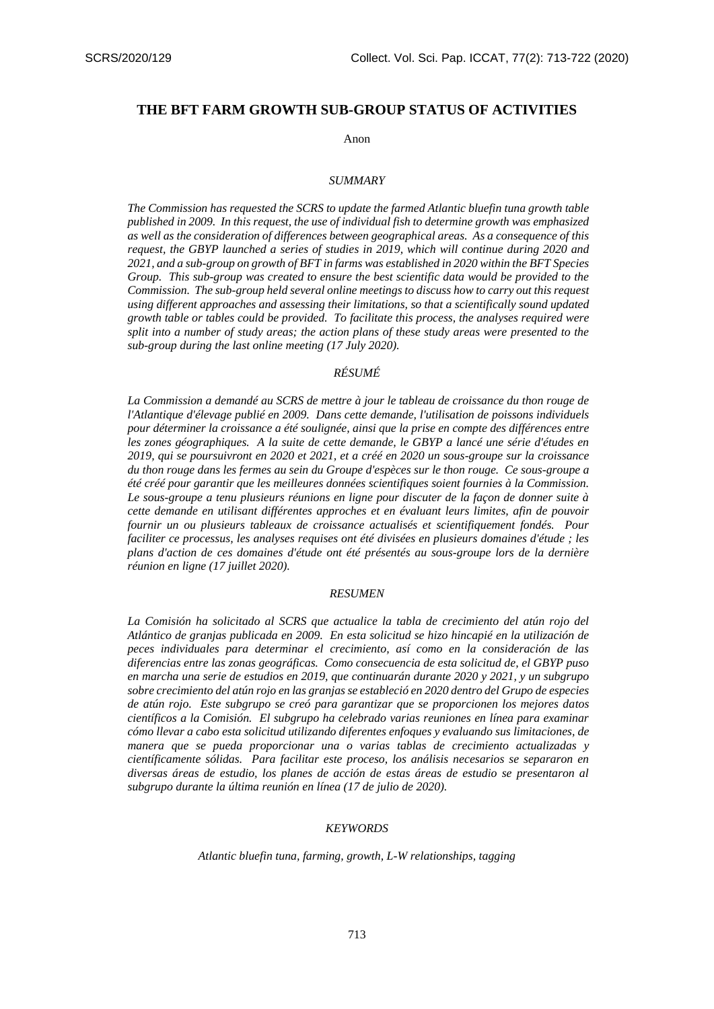# **THE BFT FARM GROWTH SUB-GROUP STATUS OF ACTIVITIES**

#### Anon

#### *SUMMARY*

*The Commission has requested the SCRS to update the farmed Atlantic bluefin tuna growth table published in 2009. In this request, the use of individual fish to determine growth was emphasized as well as the consideration of differences between geographical areas. As a consequence of this request, the GBYP launched a series of studies in 2019, which will continue during 2020 and 2021, and a sub-group on growth of BFT in farms was established in 2020 within the BFT Species Group. This sub-group was created to ensure the best scientific data would be provided to the Commission. The sub-group held several online meetings to discuss how to carry out this request using different approaches and assessing their limitations, so that a scientifically sound updated growth table or tables could be provided. To facilitate this process, the analyses required were split into a number of study areas; the action plans of these study areas were presented to the sub-group during the last online meeting (17 July 2020).*

#### *RÉSUMÉ*

*La Commission a demandé au SCRS de mettre à jour le tableau de croissance du thon rouge de l'Atlantique d'élevage publié en 2009. Dans cette demande, l'utilisation de poissons individuels pour déterminer la croissance a été soulignée, ainsi que la prise en compte des différences entre*  les zones géographiques. A la suite de cette demande, le GBYP a lancé une série d'études en *2019, qui se poursuivront en 2020 et 2021, et a créé en 2020 un sous-groupe sur la croissance du thon rouge dans les fermes au sein du Groupe d'espèces sur le thon rouge. Ce sous-groupe a été créé pour garantir que les meilleures données scientifiques soient fournies à la Commission. Le sous-groupe a tenu plusieurs réunions en ligne pour discuter de la façon de donner suite à cette demande en utilisant différentes approches et en évaluant leurs limites, afin de pouvoir fournir un ou plusieurs tableaux de croissance actualisés et scientifiquement fondés. Pour faciliter ce processus, les analyses requises ont été divisées en plusieurs domaines d'étude ; les plans d'action de ces domaines d'étude ont été présentés au sous-groupe lors de la dernière réunion en ligne (17 juillet 2020).*

#### *RESUMEN*

*La Comisión ha solicitado al SCRS que actualice la tabla de crecimiento del atún rojo del Atlántico de granjas publicada en 2009. En esta solicitud se hizo hincapié en la utilización de peces individuales para determinar el crecimiento, así como en la consideración de las diferencias entre las zonas geográficas. Como consecuencia de esta solicitud de, el GBYP puso en marcha una serie de estudios en 2019, que continuarán durante 2020 y 2021, y un subgrupo sobre crecimiento del atún rojo en las granjas se estableció en 2020 dentro del Grupo de especies de atún rojo. Este subgrupo se creó para garantizar que se proporcionen los mejores datos científicos a la Comisión. El subgrupo ha celebrado varias reuniones en línea para examinar cómo llevar a cabo esta solicitud utilizando diferentes enfoques y evaluando sus limitaciones, de manera que se pueda proporcionar una o varias tablas de crecimiento actualizadas y científicamente sólidas. Para facilitar este proceso, los análisis necesarios se separaron en diversas áreas de estudio, los planes de acción de estas áreas de estudio se presentaron al subgrupo durante la última reunión en línea (17 de julio de 2020).*

#### *KEYWORDS*

*Atlantic bluefin tuna, farming, growth, L-W relationships, tagging*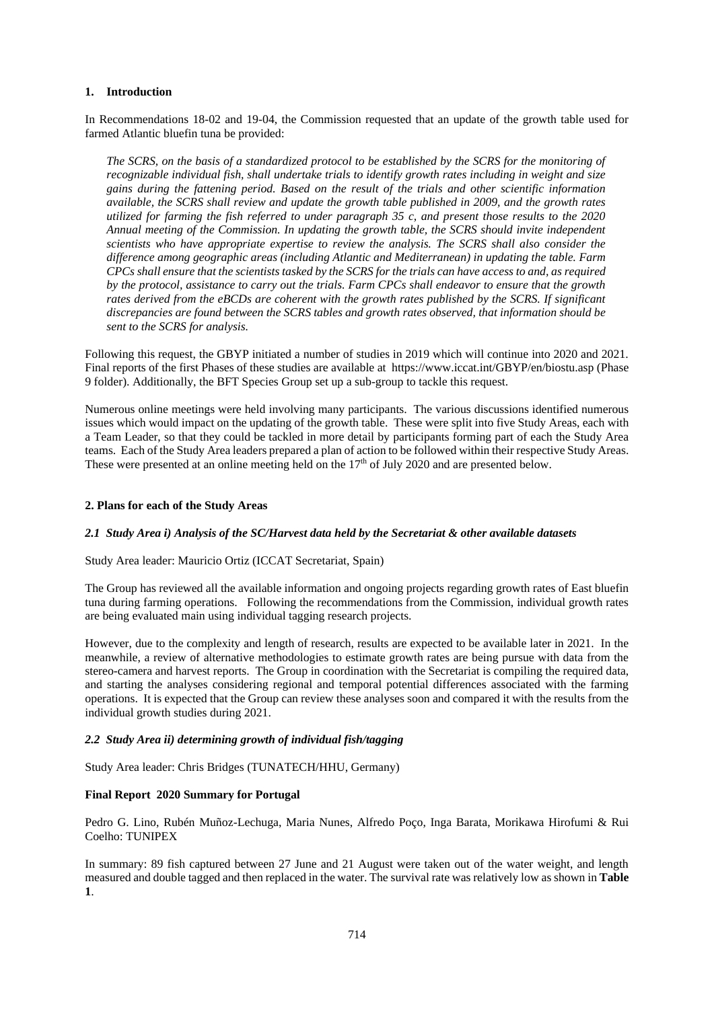### **1. Introduction**

In Recommendations 18-02 and 19-04, the Commission requested that an update of the growth table used for farmed Atlantic bluefin tuna be provided:

*The SCRS, on the basis of a standardized protocol to be established by the SCRS for the monitoring of recognizable individual fish, shall undertake trials to identify growth rates including in weight and size gains during the fattening period. Based on the result of the trials and other scientific information available, the SCRS shall review and update the growth table published in 2009, and the growth rates utilized for farming the fish referred to under paragraph 35 c, and present those results to the 2020 Annual meeting of the Commission. In updating the growth table, the SCRS should invite independent scientists who have appropriate expertise to review the analysis. The SCRS shall also consider the difference among geographic areas (including Atlantic and Mediterranean) in updating the table. Farm CPCs shall ensure that the scientists tasked by the SCRS for the trials can have access to and, as required by the protocol, assistance to carry out the trials. Farm CPCs shall endeavor to ensure that the growth rates derived from the eBCDs are coherent with the growth rates published by the SCRS. If significant discrepancies are found between the SCRS tables and growth rates observed, that information should be sent to the SCRS for analysis.*

Following this request, the GBYP initiated a number of studies in 2019 which will continue into 2020 and 2021. Final reports of the first Phases of these studies are available at<https://www.iccat.int/GBYP/en/biostu.asp> (Phase 9 folder). Additionally, the BFT Species Group set up a sub-group to tackle this request.

Numerous online meetings were held involving many participants. The various discussions identified numerous issues which would impact on the updating of the growth table. These were split into five Study Areas, each with a Team Leader, so that they could be tackled in more detail by participants forming part of each the Study Area teams. Each of the Study Area leaders prepared a plan of action to be followed within their respective Study Areas. These were presented at an online meeting held on the  $17<sup>th</sup>$  of July 2020 and are presented below.

### **2. Plans for each of the Study Areas**

#### *2.1 Study Area i) Analysis of the SC/Harvest data held by the Secretariat & other available datasets*

#### Study Area leader: Mauricio Ortiz (ICCAT Secretariat, Spain)

The Group has reviewed all the available information and ongoing projects regarding growth rates of East bluefin tuna during farming operations. Following the recommendations from the Commission, individual growth rates are being evaluated main using individual tagging research projects.

However, due to the complexity and length of research, results are expected to be available later in 2021. In the meanwhile, a review of alternative methodologies to estimate growth rates are being pursue with data from the stereo-camera and harvest reports. The Group in coordination with the Secretariat is compiling the required data, and starting the analyses considering regional and temporal potential differences associated with the farming operations. It is expected that the Group can review these analyses soon and compared it with the results from the individual growth studies during 2021.

# *2.2 Study Area ii) determining growth of individual fish/tagging*

Study Area leader: Chris Bridges (TUNATECH/HHU, Germany)

# **Final Report 2020 Summary for Portugal**

Pedro G. Lino, Rubén Muñoz-Lechuga, Maria Nunes, Alfredo Poço, Inga Barata, Morikawa Hirofumi & Rui Coelho: TUNIPEX

In summary: 89 fish captured between 27 June and 21 August were taken out of the water weight, and length measured and double tagged and then replaced in the water. The survival rate was relatively low as shown in **Table 1**.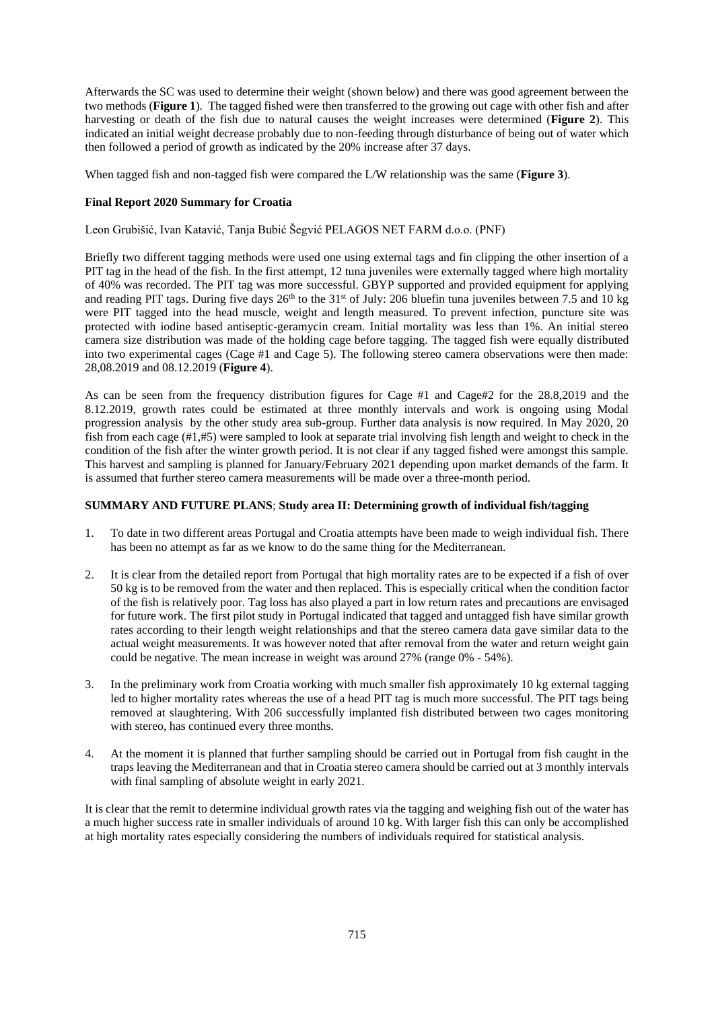Afterwards the SC was used to determine their weight (shown below) and there was good agreement between the two methods (**Figure 1**). The tagged fished were then transferred to the growing out cage with other fish and after harvesting or death of the fish due to natural causes the weight increases were determined (**Figure 2**). This indicated an initial weight decrease probably due to non-feeding through disturbance of being out of water which then followed a period of growth as indicated by the 20% increase after 37 days.

When tagged fish and non-tagged fish were compared the L/W relationship was the same (**Figure 3**).

# **Final Report 2020 Summary for Croatia**

Leon Grubišić, Ivan Katavić, Tanja Bubić Šegvić PELAGOS NET FARM d.o.o. (PNF)

Briefly two different tagging methods were used one using external tags and fin clipping the other insertion of a PIT tag in the head of the fish. In the first attempt, 12 tuna juveniles were externally tagged where high mortality of 40% was recorded. The PIT tag was more successful. GBYP supported and provided equipment for applying and reading PIT tags. During five days  $26<sup>th</sup>$  to the 31<sup>st</sup> of July: 206 bluefin tuna juveniles between 7.5 and 10 kg were PIT tagged into the head muscle, weight and length measured. To prevent infection, puncture site was protected with iodine based antiseptic-geramycin cream. Initial mortality was less than 1%. An initial stereo camera size distribution was made of the holding cage before tagging. The tagged fish were equally distributed into two experimental cages (Cage #1 and Cage 5). The following stereo camera observations were then made: 28,08.2019 and 08.12.2019 (**Figure 4**).

As can be seen from the frequency distribution figures for Cage #1 and Cage#2 for the 28.8,2019 and the 8.12.2019, growth rates could be estimated at three monthly intervals and work is ongoing using Modal progression analysis by the other study area sub-group. Further data analysis is now required. In May 2020, 20 fish from each cage (#1,#5) were sampled to look at separate trial involving fish length and weight to check in the condition of the fish after the winter growth period. It is not clear if any tagged fished were amongst this sample. This harvest and sampling is planned for January/February 2021 depending upon market demands of the farm. It is assumed that further stereo camera measurements will be made over a three-month period.

# **SUMMARY AND FUTURE PLANS**; **Study area II: Determining growth of individual fish/tagging**

- 1. To date in two different areas Portugal and Croatia attempts have been made to weigh individual fish. There has been no attempt as far as we know to do the same thing for the Mediterranean.
- 2. It is clear from the detailed report from Portugal that high mortality rates are to be expected if a fish of over 50 kg is to be removed from the water and then replaced. This is especially critical when the condition factor of the fish is relatively poor. Tag loss has also played a part in low return rates and precautions are envisaged for future work. The first pilot study in Portugal indicated that tagged and untagged fish have similar growth rates according to their length weight relationships and that the stereo camera data gave similar data to the actual weight measurements. It was however noted that after removal from the water and return weight gain could be negative. The mean increase in weight was around 27% (range 0% - 54%).
- 3. In the preliminary work from Croatia working with much smaller fish approximately 10 kg external tagging led to higher mortality rates whereas the use of a head PIT tag is much more successful. The PIT tags being removed at slaughtering. With 206 successfully implanted fish distributed between two cages monitoring with stereo, has continued every three months.
- 4. At the moment it is planned that further sampling should be carried out in Portugal from fish caught in the traps leaving the Mediterranean and that in Croatia stereo camera should be carried out at 3 monthly intervals with final sampling of absolute weight in early 2021.

It is clear that the remit to determine individual growth rates via the tagging and weighing fish out of the water has a much higher success rate in smaller individuals of around 10 kg. With larger fish this can only be accomplished at high mortality rates especially considering the numbers of individuals required for statistical analysis.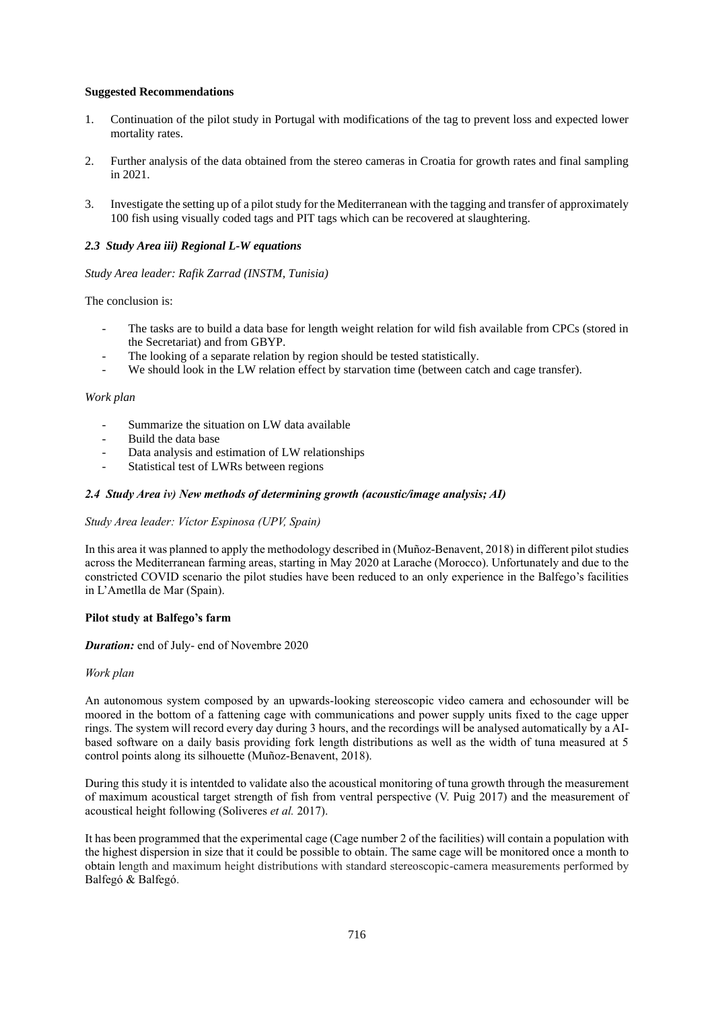# **Suggested Recommendations**

- 1. Continuation of the pilot study in Portugal with modifications of the tag to prevent loss and expected lower mortality rates.
- 2. Further analysis of the data obtained from the stereo cameras in Croatia for growth rates and final sampling in 2021.
- 3. Investigate the setting up of a pilot study for the Mediterranean with the tagging and transfer of approximately 100 fish using visually coded tags and PIT tags which can be recovered at slaughtering.

## *2.3 Study Area iii) Regional L-W equations*

### *Study Area leader: Rafik Zarrad (INSTM, Tunisia)*

### The conclusion is:

- The tasks are to build a data base for length weight relation for wild fish available from CPCs (stored in the Secretariat) and from GBYP.
- The looking of a separate relation by region should be tested statistically.
- We should look in the LW relation effect by starvation time (between catch and cage transfer).

### *Work plan*

- Summarize the situation on LW data available
- Build the data base
- Data analysis and estimation of LW relationships
- Statistical test of LWRs between regions

### *2.4 Study Area iv) New methods of determining growth (acoustic/image analysis; AI)*

### *Study Area leader: Víctor Espinosa (UPV, Spain)*

In this area it was planned to apply the methodology described in (Muñoz-Benavent, 2018) in different pilot studies across the Mediterranean farming areas, starting in May 2020 at Larache (Morocco). Unfortunately and due to the constricted COVID scenario the pilot studies have been reduced to an only experience in the Balfego's facilities in L'Ametlla de Mar (Spain).

#### **Pilot study at Balfego's farm**

#### *Duration:* end of July- end of Novembre 2020

### *Work plan*

An autonomous system composed by an upwards-looking stereoscopic video camera and echosounder will be moored in the bottom of a fattening cage with communications and power supply units fixed to the cage upper rings. The system will record every day during 3 hours, and the recordings will be analysed automatically by a AIbased software on a daily basis providing fork length distributions as well as the width of tuna measured at 5 control points along its silhouette (Muñoz-Benavent, 2018).

During this study it is intentded to validate also the acoustical monitoring of tuna growth through the measurement of maximum acoustical target strength of fish from ventral perspective (V. Puig 2017) and the measurement of acoustical height following (Soliveres *et al.* 2017).

It has been programmed that the experimental cage (Cage number 2 of the facilities) will contain a population with the highest dispersion in size that it could be possible to obtain. The same cage will be monitored once a month to obtain length and maximum height distributions with standard stereoscopic-camera measurements performed by Balfegó & Balfegó.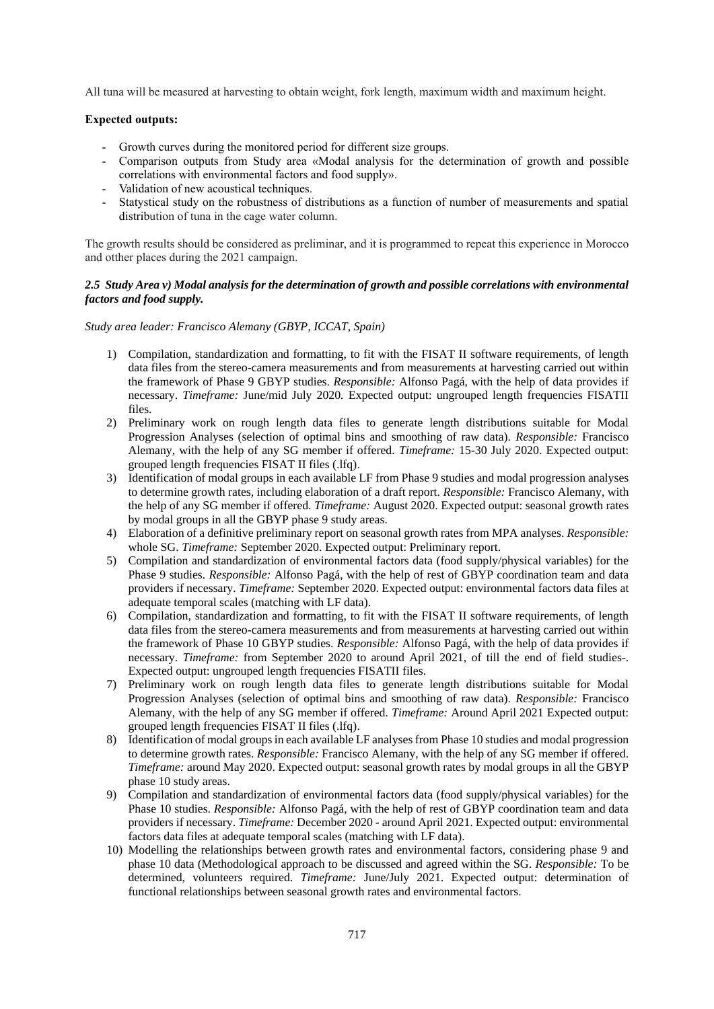All tuna will be measured at harvesting to obtain weight, fork length, maximum width and maximum height.

# **Expected outputs:**

- Growth curves during the monitored period for different size groups.
- Comparison outputs from Study area «Modal analysis for the determination of growth and possible correlations with environmental factors and food supply».
- Validation of new acoustical techniques.
- Statystical study on the robustness of distributions as a function of number of measurements and spatial distribution of tuna in the cage water column.

The growth results should be considered as preliminar, and it is programmed to repeat this experience in Morocco and otther places during the 2021 campaign.

### *2.5 Study Area v) Modal analysis for the determination of growth and possible correlations with environmental factors and food supply.*

*Study area leader: Francisco Alemany (GBYP, ICCAT, Spain)*

- 1) Compilation, standardization and formatting, to fit with the FISAT II software requirements, of length data files from the stereo-camera measurements and from measurements at harvesting carried out within the framework of Phase 9 GBYP studies. *Responsible:* Alfonso Pagá, with the help of data provides if necessary. *Timeframe:* June/mid July 2020*.* Expected output: ungrouped length frequencies FISATII files.
- 2) Preliminary work on rough length data files to generate length distributions suitable for Modal Progression Analyses (selection of optimal bins and smoothing of raw data). *Responsible:* Francisco Alemany, with the help of any SG member if offered. *Timeframe:* 15-30 July 2020. Expected output: grouped length frequencies FISAT II files (.lfq).
- 3) Identification of modal groups in each available LF from Phase 9 studies and modal progression analyses to determine growth rates, including elaboration of a draft report. *Responsible:* Francisco Alemany, with the help of any SG member if offered. *Timeframe:* August 2020. Expected output: seasonal growth rates by modal groups in all the GBYP phase 9 study areas.
- 4) Elaboration of a definitive preliminary report on seasonal growth rates from MPA analyses. *Responsible:* whole SG. *Timeframe:* September 2020. Expected output: Preliminary report.
- 5) Compilation and standardization of environmental factors data (food supply/physical variables) for the Phase 9 studies. *Responsible:* Alfonso Pagá, with the help of rest of GBYP coordination team and data providers if necessary. *Timeframe:* September 2020. Expected output: environmental factors data files at adequate temporal scales (matching with LF data).
- 6) Compilation, standardization and formatting, to fit with the FISAT II software requirements, of length data files from the stereo-camera measurements and from measurements at harvesting carried out within the framework of Phase 10 GBYP studies. *Responsible:* Alfonso Pagá, with the help of data provides if necessary. *Timeframe:* from September 2020 to around April 2021, of till the end of field studies-. Expected output: ungrouped length frequencies FISATII files.
- 7) Preliminary work on rough length data files to generate length distributions suitable for Modal Progression Analyses (selection of optimal bins and smoothing of raw data). *Responsible:* Francisco Alemany, with the help of any SG member if offered. *Timeframe:* Around April 2021 Expected output: grouped length frequencies FISAT II files (.lfq).
- 8) Identification of modal groups in each available LF analyses from Phase 10 studies and modal progression to determine growth rates. *Responsible:* Francisco Alemany, with the help of any SG member if offered. *Timeframe:* around May 2020. Expected output: seasonal growth rates by modal groups in all the GBYP phase 10 study areas.
- 9) Compilation and standardization of environmental factors data (food supply/physical variables) for the Phase 10 studies. *Responsible:* Alfonso Pagá, with the help of rest of GBYP coordination team and data providers if necessary. *Timeframe:* December 2020 - around April 2021. Expected output: environmental factors data files at adequate temporal scales (matching with LF data).
- 10) Modelling the relationships between growth rates and environmental factors, considering phase 9 and phase 10 data (Methodological approach to be discussed and agreed within the SG. *Responsible:* To be determined, volunteers required. *Timeframe:* June/July 2021. Expected output: determination of functional relationships between seasonal growth rates and environmental factors.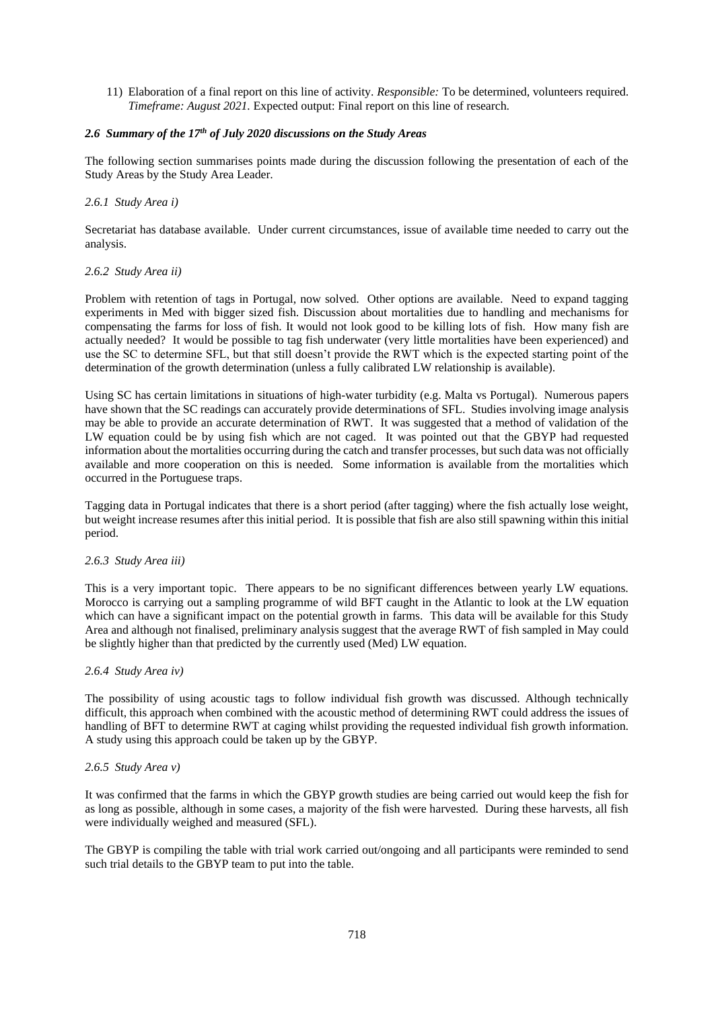11) Elaboration of a final report on this line of activity. *Responsible:* To be determined, volunteers required. *Timeframe: August 2021.* Expected output: Final report on this line of research.

# *2.6 Summary of the 17th of July 2020 discussions on the Study Areas*

The following section summarises points made during the discussion following the presentation of each of the Study Areas by the Study Area Leader.

# *2.6.1 Study Area i)*

Secretariat has database available. Under current circumstances, issue of available time needed to carry out the analysis.

### *2.6.2 Study Area ii)*

Problem with retention of tags in Portugal, now solved. Other options are available. Need to expand tagging experiments in Med with bigger sized fish. Discussion about mortalities due to handling and mechanisms for compensating the farms for loss of fish. It would not look good to be killing lots of fish. How many fish are actually needed? It would be possible to tag fish underwater (very little mortalities have been experienced) and use the SC to determine SFL, but that still doesn't provide the RWT which is the expected starting point of the determination of the growth determination (unless a fully calibrated LW relationship is available).

Using SC has certain limitations in situations of high-water turbidity (e.g. Malta vs Portugal). Numerous papers have shown that the SC readings can accurately provide determinations of SFL. Studies involving image analysis may be able to provide an accurate determination of RWT. It was suggested that a method of validation of the LW equation could be by using fish which are not caged. It was pointed out that the GBYP had requested information about the mortalities occurring during the catch and transfer processes, but such data was not officially available and more cooperation on this is needed. Some information is available from the mortalities which occurred in the Portuguese traps.

Tagging data in Portugal indicates that there is a short period (after tagging) where the fish actually lose weight, but weight increase resumes after this initial period. It is possible that fish are also still spawning within this initial period.

#### *2.6.3 Study Area iii)*

This is a very important topic. There appears to be no significant differences between yearly LW equations. Morocco is carrying out a sampling programme of wild BFT caught in the Atlantic to look at the LW equation which can have a significant impact on the potential growth in farms. This data will be available for this Study Area and although not finalised, preliminary analysis suggest that the average RWT of fish sampled in May could be slightly higher than that predicted by the currently used (Med) LW equation.

#### *2.6.4 Study Area iv)*

The possibility of using acoustic tags to follow individual fish growth was discussed. Although technically difficult, this approach when combined with the acoustic method of determining RWT could address the issues of handling of BFT to determine RWT at caging whilst providing the requested individual fish growth information. A study using this approach could be taken up by the GBYP.

#### *2.6.5 Study Area v)*

It was confirmed that the farms in which the GBYP growth studies are being carried out would keep the fish for as long as possible, although in some cases, a majority of the fish were harvested. During these harvests, all fish were individually weighed and measured (SFL).

The GBYP is compiling the table with trial work carried out/ongoing and all participants were reminded to send such trial details to the GBYP team to put into the table.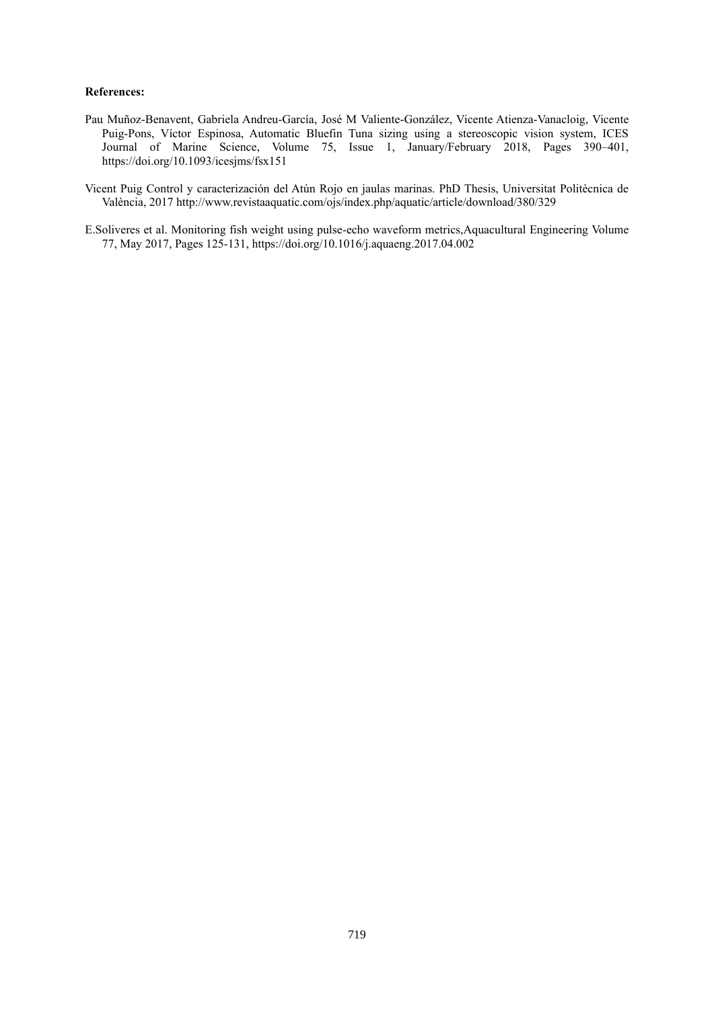### **References:**

- Pau Muñoz-Benavent, Gabriela Andreu-García, José M Valiente-González, Vicente Atienza-Vanacloig, Vicente Puig-Pons, Víctor Espinosa, Automatic Bluefin Tuna sizing using a stereoscopic vision system, ICES Journal of Marine Science, Volume 75, Issue 1, January/February 2018, Pages 390–401, <https://doi.org/10.1093/icesjms/fsx151>
- Vicent Puig Control y caracterización del Atún Rojo en jaulas marinas. PhD Thesis, Universitat Politècnica de València, 2017<http://www.revistaaquatic.com/ojs/index.php/aquatic/article/download/380/329>
- E.Soliveres et al. Monitoring fish weight using pulse-echo waveform metrics,Aquacultural Engineering Volume 77, May 2017, Pages 125-131,<https://doi.org/10.1016/j.aquaeng.2017.04.002>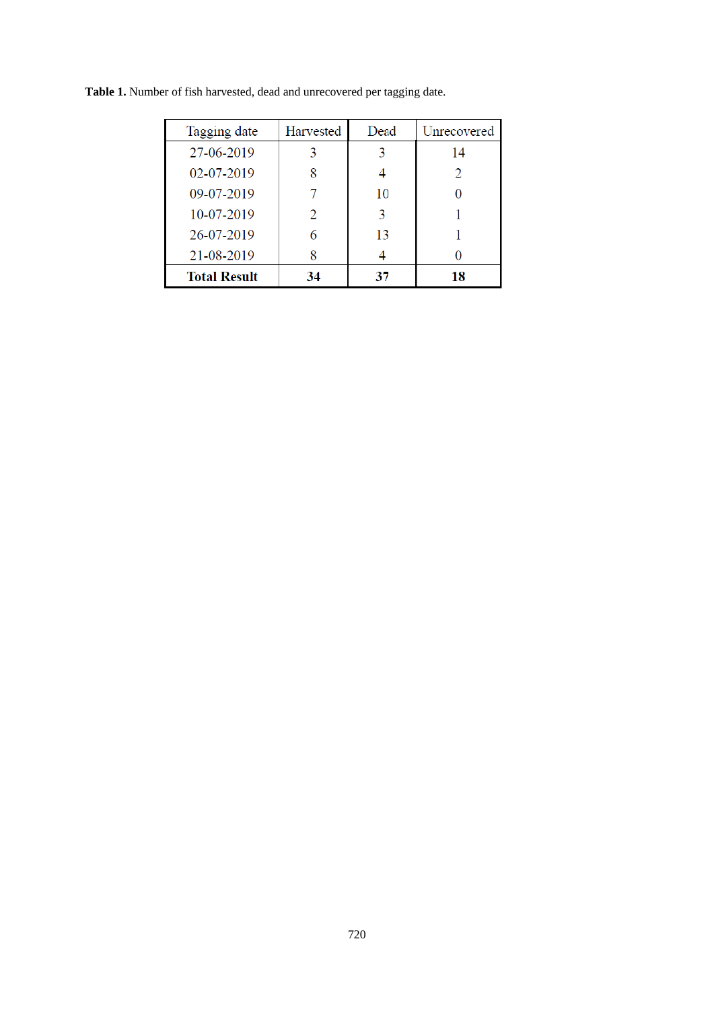| Tagging date        | Harvested | Dead | Unrecovered |
|---------------------|-----------|------|-------------|
| 27-06-2019          |           |      | 14          |
| 02-07-2019          |           |      |             |
| 09-07-2019          |           | 10   |             |
| 10-07-2019          |           | 3    |             |
| 26-07-2019          |           | 13   |             |
| 21-08-2019          |           |      |             |
| <b>Total Result</b> | 34        | 37   | 18          |

**Table 1.** Number of fish harvested, dead and unrecovered per tagging date.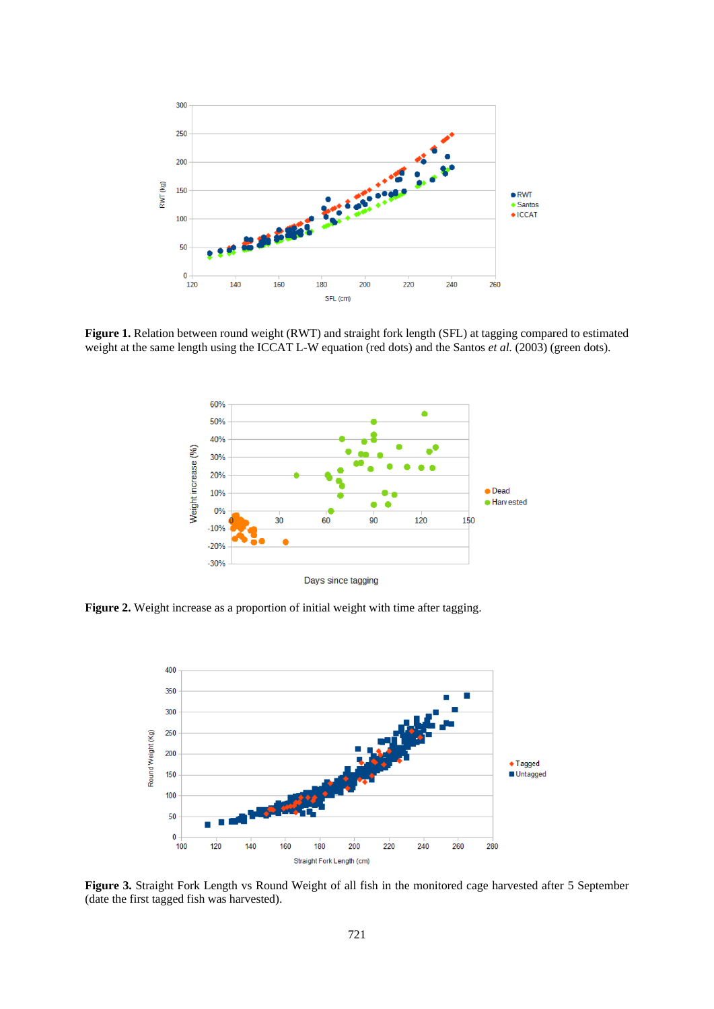

**Figure 1.** Relation between round weight (RWT) and straight fork length (SFL) at tagging compared to estimated weight at the same length using the ICCAT L-W equation (red dots) and the Santos *et al.* (2003) (green dots).



**Figure 2.** Weight increase as a proportion of initial weight with time after tagging.



**Figure 3.** Straight Fork Length vs Round Weight of all fish in the monitored cage harvested after 5 September (date the first tagged fish was harvested).